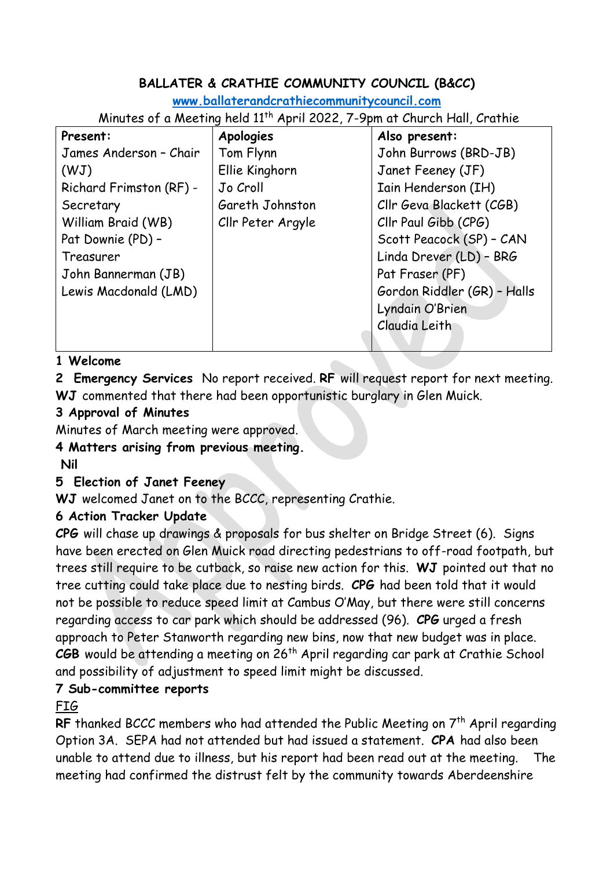## **BALLATER & CRATHIE COMMUNITY COUNCIL (B&CC)**

**[www.ballaterandcrathiecommunitycouncil.com](http://www.ballaterandcrathiecommunitycouncil.com/)**

Minutes of a Meeting held 11th April 2022, 7-9pm at Church Hall, Crathie

| Present:                | <b>Apologies</b>  | Also present:               |
|-------------------------|-------------------|-----------------------------|
| James Anderson - Chair  | Tom Flynn         | John Burrows (BRD-JB)       |
| (WJ)                    | Ellie Kinghorn    | Janet Feeney (JF)           |
| Richard Frimston (RF) - | Jo Croll          | Iain Henderson (IH)         |
| Secretary               | Gareth Johnston   | Cllr Geva Blackett (CGB)    |
| William Braid (WB)      | Cllr Peter Argyle | Cllr Paul Gibb (CPG)        |
| Pat Downie (PD) -       |                   | Scott Peacock (SP) - CAN    |
| Treasurer               |                   | Linda Drever (LD) - BRG     |
| John Bannerman (JB)     |                   | Pat Fraser (PF)             |
| Lewis Macdonald (LMD)   |                   | Gordon Riddler (GR) - Halls |
|                         |                   | Lyndain O'Brien             |
|                         |                   | Claudia Leith               |
|                         |                   |                             |

#### **1 Welcome**

**2 Emergency Services** No report received. **RF** will request report for next meeting. **WJ** commented that there had been opportunistic burglary in Glen Muick.

## **3 Approval of Minutes**

Minutes of March meeting were approved.

## **4 Matters arising from previous meeting.**

**Nil**

## **5 Election of Janet Feeney**

**WJ** welcomed Janet on to the BCCC, representing Crathie.

## **6 Action Tracker Update**

**CPG** will chase up drawings & proposals for bus shelter on Bridge Street (6). Signs have been erected on Glen Muick road directing pedestrians to off-road footpath, but trees still require to be cutback, so raise new action for this. **WJ** pointed out that no tree cutting could take place due to nesting birds. **CPG** had been told that it would not be possible to reduce speed limit at Cambus O'May, but there were still concerns regarding access to car park which should be addressed (96). **CPG** urged a fresh approach to Peter Stanworth regarding new bins, now that new budget was in place. **CGB** would be attending a meeting on 26th April regarding car park at Crathie School and possibility of adjustment to speed limit might be discussed.

## **7 Sub-committee reports**

FIG

**RF** thanked BCCC members who had attended the Public Meeting on 7<sup>th</sup> April regarding Option 3A. SEPA had not attended but had issued a statement. **CPA** had also been unable to attend due to illness, but his report had been read out at the meeting. The meeting had confirmed the distrust felt by the community towards Aberdeenshire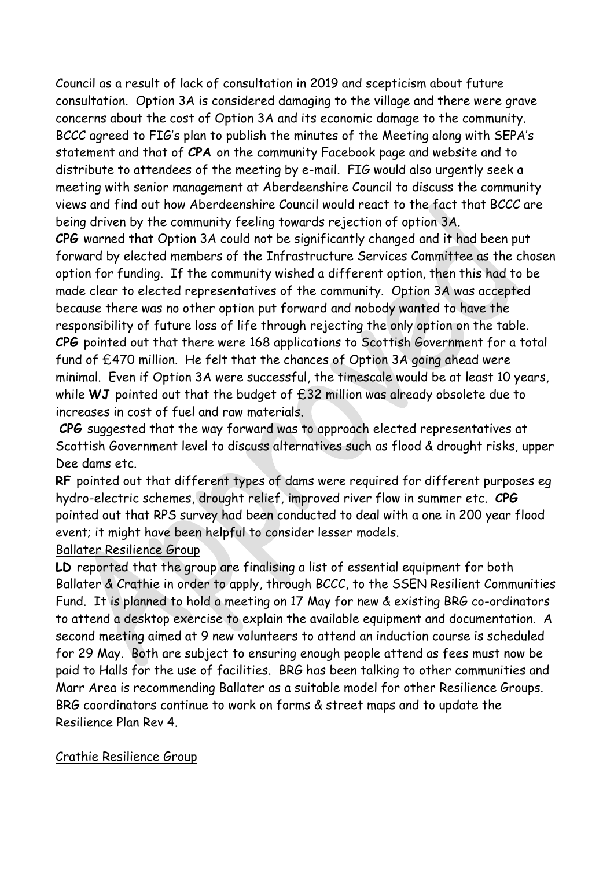Council as a result of lack of consultation in 2019 and scepticism about future consultation. Option 3A is considered damaging to the village and there were grave concerns about the cost of Option 3A and its economic damage to the community. BCCC agreed to FIG's plan to publish the minutes of the Meeting along with SEPA's statement and that of **CPA** on the community Facebook page and website and to distribute to attendees of the meeting by e-mail. FIG would also urgently seek a meeting with senior management at Aberdeenshire Council to discuss the community views and find out how Aberdeenshire Council would react to the fact that BCCC are being driven by the community feeling towards rejection of option 3A.

**CPG** warned that Option 3A could not be significantly changed and it had been put forward by elected members of the Infrastructure Services Committee as the chosen option for funding. If the community wished a different option, then this had to be made clear to elected representatives of the community. Option 3A was accepted because there was no other option put forward and nobody wanted to have the responsibility of future loss of life through rejecting the only option on the table. **CPG** pointed out that there were 168 applications to Scottish Government for a total fund of £470 million. He felt that the chances of Option 3A going ahead were minimal. Even if Option 3A were successful, the timescale would be at least 10 years, while **WJ** pointed out that the budget of £32 million was already obsolete due to increases in cost of fuel and raw materials.

**CPG** suggested that the way forward was to approach elected representatives at Scottish Government level to discuss alternatives such as flood & drought risks, upper Dee dams etc.

**RF** pointed out that different types of dams were required for different purposes eg hydro-electric schemes, drought relief, improved river flow in summer etc. **CPG**  pointed out that RPS survey had been conducted to deal with a one in 200 year flood event; it might have been helpful to consider lesser models.

#### Ballater Resilience Group

LD reported that the group are finalising a list of essential equipment for both Ballater & Crathie in order to apply, through BCCC, to the SSEN Resilient Communities Fund. It is planned to hold a meeting on 17 May for new & existing BRG co-ordinators to attend a desktop exercise to explain the available equipment and documentation. A second meeting aimed at 9 new volunteers to attend an induction course is scheduled for 29 May. Both are subject to ensuring enough people attend as fees must now be paid to Halls for the use of facilities. BRG has been talking to other communities and Marr Area is recommending Ballater as a suitable model for other Resilience Groups. BRG coordinators continue to work on forms & street maps and to update the Resilience Plan Rev 4.

#### Crathie Resilience Group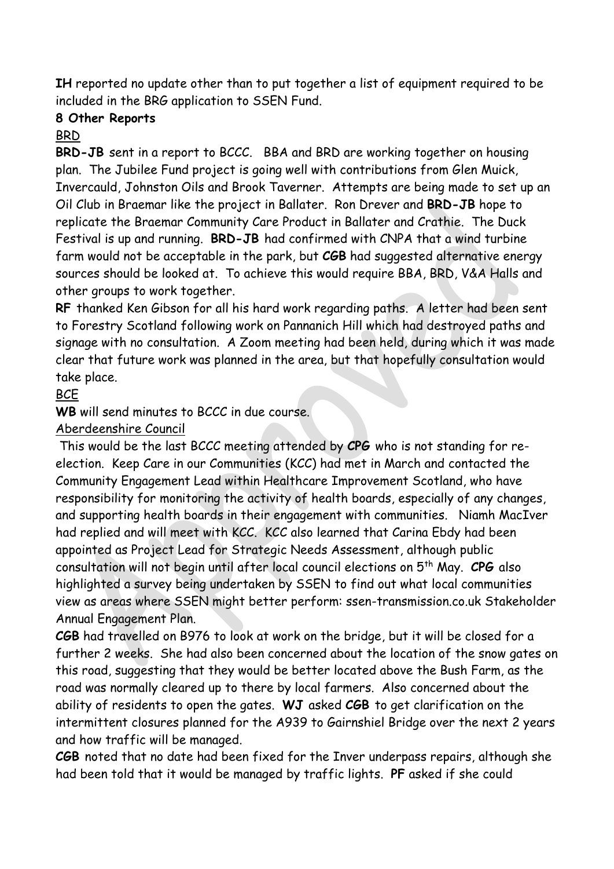**IH** reported no update other than to put together a list of equipment required to be included in the BRG application to SSEN Fund.

#### **8 Other Reports**

#### BRD

**BRD-JB** sent in a report to BCCC. BBA and BRD are working together on housing plan. The Jubilee Fund project is going well with contributions from Glen Muick, Invercauld, Johnston Oils and Brook Taverner. Attempts are being made to set up an Oil Club in Braemar like the project in Ballater. Ron Drever and **BRD-JB** hope to replicate the Braemar Community Care Product in Ballater and Crathie. The Duck Festival is up and running. **BRD-JB** had confirmed with CNPA that a wind turbine farm would not be acceptable in the park, but **CGB** had suggested alternative energy sources should be looked at. To achieve this would require BBA, BRD, V&A Halls and other groups to work together.

**RF** thanked Ken Gibson for all his hard work regarding paths. A letter had been sent to Forestry Scotland following work on Pannanich Hill which had destroyed paths and signage with no consultation. A Zoom meeting had been held, during which it was made clear that future work was planned in the area, but that hopefully consultation would take place.

**BCE** 

**WB** will send minutes to BCCC in due course.

Aberdeenshire Council

This would be the last BCCC meeting attended by **CPG** who is not standing for reelection. Keep Care in our Communities (KCC) had met in March and contacted the Community Engagement Lead within Healthcare Improvement Scotland, who have responsibility for monitoring the activity of health boards, especially of any changes, and supporting health boards in their engagement with communities. Niamh MacIver had replied and will meet with KCC. KCC also learned that Carina Ebdy had been appointed as Project Lead for Strategic Needs Assessment, although public consultation will not begin until after local council elections on 5th May. **CPG** also highlighted a survey being undertaken by SSEN to find out what local communities view as areas where SSEN might better perform: ssen-transmission.co.uk Stakeholder Annual Engagement Plan.

**CGB** had travelled on B976 to look at work on the bridge, but it will be closed for a further 2 weeks. She had also been concerned about the location of the snow gates on this road, suggesting that they would be better located above the Bush Farm, as the road was normally cleared up to there by local farmers. Also concerned about the ability of residents to open the gates. **WJ** asked **CGB** to get clarification on the intermittent closures planned for the A939 to Gairnshiel Bridge over the next 2 years and how traffic will be managed.

**CGB** noted that no date had been fixed for the Inver underpass repairs, although she had been told that it would be managed by traffic lights. **PF** asked if she could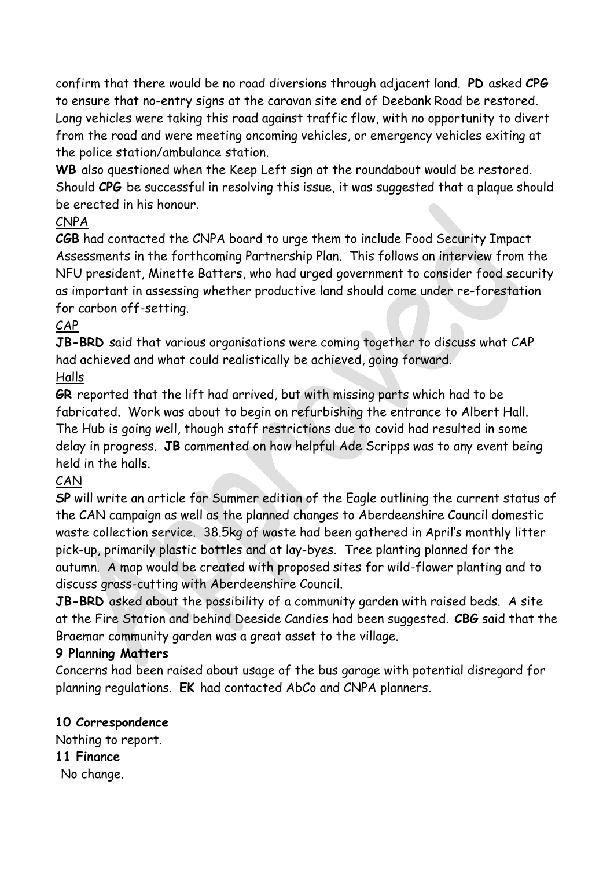confirm that there would be no road diversions through adjacent land. **PD** asked **CPG**  to ensure that no-entry signs at the caravan site end of Deebank Road be restored. Long vehicles were taking this road against traffic flow, with no opportunity to divert from the road and were meeting oncoming vehicles, or emergency vehicles exiting at the police station/ambulance station.

**WB** also questioned when the Keep Left sign at the roundabout would be restored. Should **CPG** be successful in resolving this issue, it was suggested that a plaque should be erected in his honour.

## CNPA

**CGB** had contacted the CNPA board to urge them to include Food Security Impact Assessments in the forthcoming Partnership Plan. This follows an interview from the NFU president, Minette Batters, who had urged government to consider food security as important in assessing whether productive land should come under re-forestation for carbon off-setting.

## CAP

**JB-BRD** said that various organisations were coming together to discuss what CAP had achieved and what could realistically be achieved, going forward. Halls

**GR** reported that the lift had arrived, but with missing parts which had to be fabricated. Work was about to begin on refurbishing the entrance to Albert Hall. The Hub is going well, though staff restrictions due to covid had resulted in some delay in progress. **JB** commented on how helpful Ade Scripps was to any event being held in the halls.

# **CAN**

**SP** will write an article for Summer edition of the Eagle outlining the current status of the CAN campaign as well as the planned changes to Aberdeenshire Council domestic waste collection service. 38.5kg of waste had been gathered in April's monthly litter pick-up, primarily plastic bottles and at lay-byes. Tree planting planned for the autumn. A map would be created with proposed sites for wild-flower planting and to discuss grass-cutting with Aberdeenshire Council.

**JB-BRD** asked about the possibility of a community garden with raised beds. A site at the Fire Station and behind Deeside Candies had been suggested. **CBG** said that the Braemar community garden was a great asset to the village.

## **9 Planning Matters**

Concerns had been raised about usage of the bus garage with potential disregard for planning regulations. **EK** had contacted AbCo and CNPA planners.

## **10 Correspondence**

Nothing to report. **11 Finance** No change.